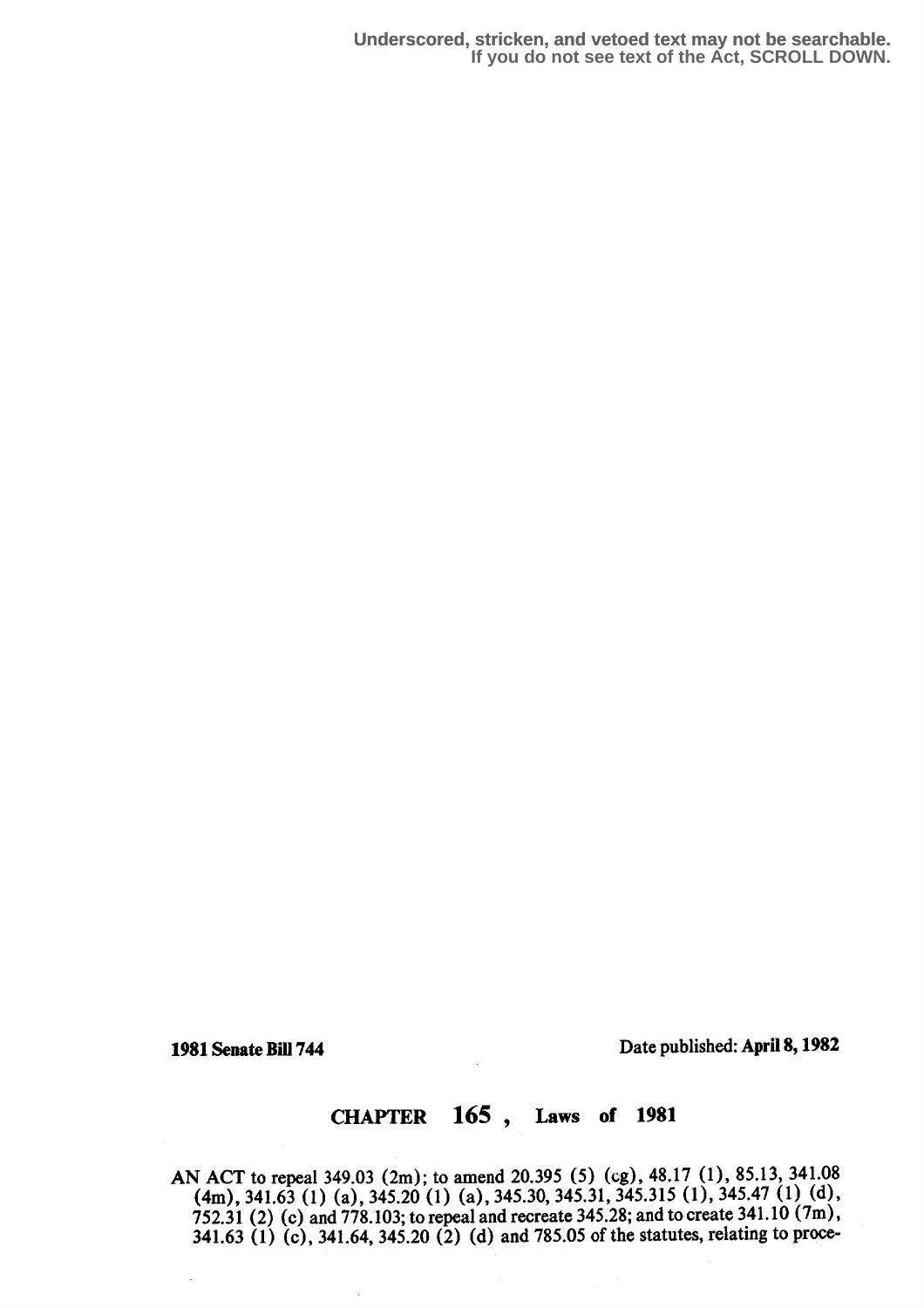**Underscored, stricken, and vetoed text may not be searchable. If you do not see text of the Act, SCROLL DOWN.**

1981 Senate Bill 744 Date published: April 8, 1982

# CHAPTER 165 , Laws of 1981

AN ACT to repeal 349.03 (2m); to amend 20.395 (5) (cg), 48.17 (1), 85.13, 341.08 (4m), 341.63 (1) (a), 345.20 (1) (a), 345.30, 345.31, 345.315 (1), 345.47 (1) (d), 752.31 (2) (c) and 778.103; to repeal and recreate 345.28; and to create 341 .10 (7m), 341.63 (1) (c), 341.64, 345.20 (2) (d) and 785.05 of the statutes, relating to proce-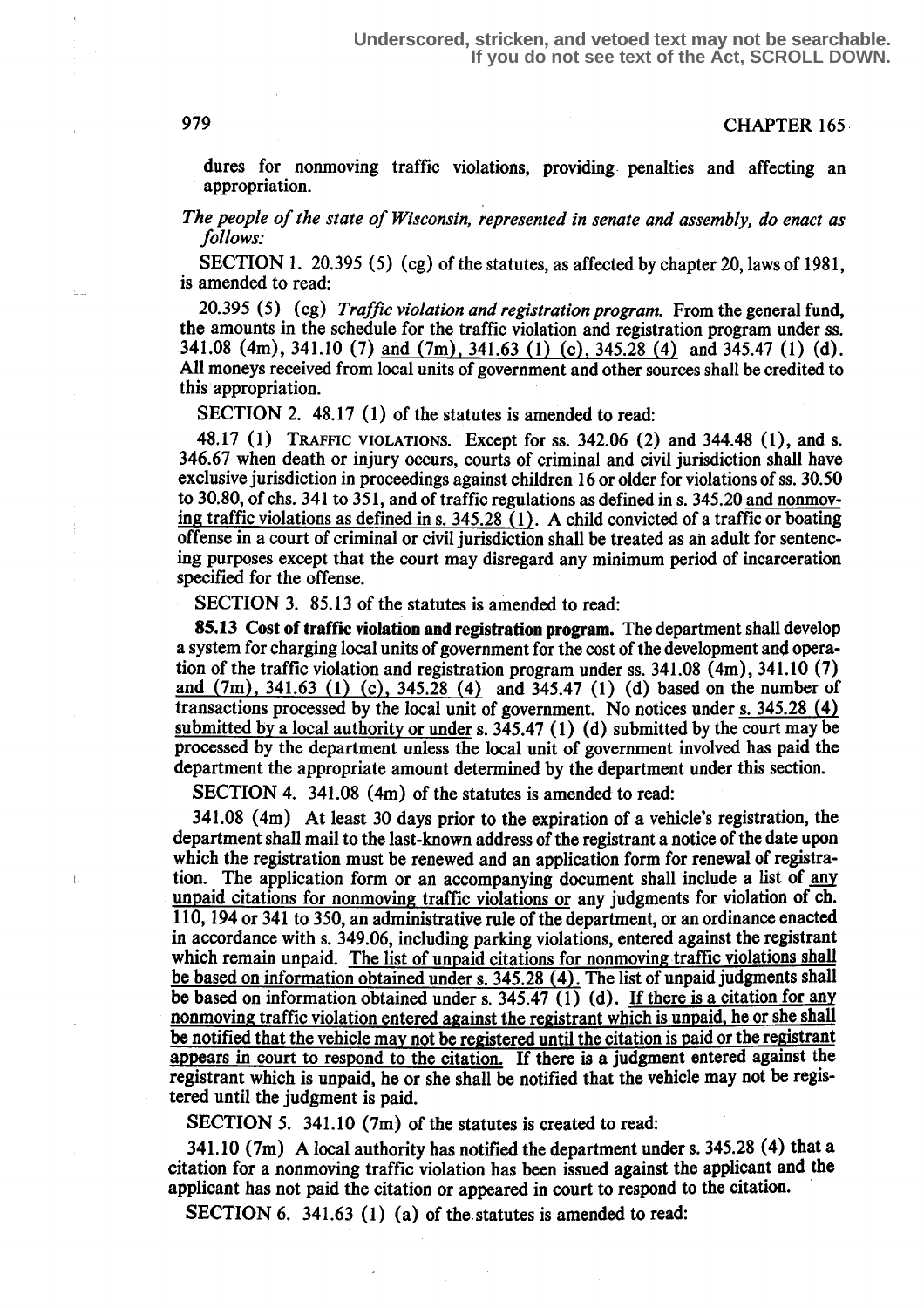#### 979 **CHAPTER** 165

dures for nonmoving traffic violations, providing- penalties and affecting an appropriation.

The people of the state of Wisconsin, represented in senate and assembly, do enact as follows:

SECTION 1. 20.395 (5) (cg) of the statutes, as affected by chapter 20, laws of 1981, is amended to read:

20.395 (5) (cg) Traffic violation and registration program. From the general fund, the amounts in the schedule for the traffic violation and registration program under ss. 341.08 (4m), 341.10 (7) and (7m), 341.63 (1) (c), 345.28 (4) and 345.47 (1) (d). All moneys received from local units of government and other sources shall be credited to this appropriation.

SECTION 2. 48.17 (1) of the statutes is amended to read:

48.17 (1) TRAFFIC VIOLATIONS. Except for ss . 342.06 (2) and 344.48 (1), and s. 346.67 when death or injury occurs, courts of criminal and civil jurisdiction shall have exclusive jurisdiction in proceedings against children 16 or older for violations of ss. 30.50 to 30.80, of chs. 341 to 351, and of traffic regulations as defined in s. 345.20 and nonmoving traffic violations as defined in s.  $345.28(1)$ . A child convicted of a traffic or boating offense in a court of criminal or civil jurisdiction shall be treated as an adult for sentencing purposes except that the court may disregard any minimum period of incarceration specified for the offense.

SECTION 3. 85.13 of the statutes is amended to read:

85.13 Cost of traffic violation and registration program. The department shall develop a system for charging local units of government for the cost of the development and operation of the traffic violation and registration program under ss . 341.08 (4m), 341.10 (7) and  $(7m)$ , 341.63 (1) (c), 345.28 (4) and 345.47 (1) (d) based on the number of transactions processed by the local unit of government. No notices under s. 345.28 (4) <u>submitted by a local authority or under</u> s. 345.47 (1) (d) submitted by the court may be processed by the department unless the local unit of government involved has paid the department the appropriate amount determined by the department under this section.

SECTION 4. 341.08 (4m) of the statutes is amended to read:

registrant which is unpaid, he or she shall be notified that the vehicle may not be registered until the judgment is paid. 341 .08 (4m) At least 30 days prior to the expiration of a vehicle's registration, the department shall mail to the last-known address of the registrant a notice of the date upon which the registration must be renewed and an application form for renewal of registration. The application form or an accompanying document shall include a list of any unpaid citations for nonmoving traffic violations or any judgments for violation of ch. 110, 194 or 341 to 350, an administrative rule of the department, or an ordinance enacted in accordance with s. 349.06, including parking violations, entered against the registrant which remain unpaid. The list of unpaid citations for nonmoving traffic violations shall be based on information obtained under s. 345.28 (4). The list of unpaid judgments shall be based on information obtained under s.  $345.47$  (1) (d). If there is a citation for any nonmoving traffic violation entered against the registrant which is unpaid, he or she shall be notified that the vehicle may not be registered until the citation is paid or the registrant appears in court to respond to the citation. If there is a judgment entered against the

SECTION 5.  $341.10$  (7m) of the statutes is created to read:

341.10 (7m) A local authority has notified the department under s. 345.28 (4) that a citation for a nonmoving traffic violation has been issued against the applicant and the applicant has not paid the citation or appeared in court to respond to the citation.

SECTION 6. 341.63 (1) (a) of the statutes is amended to read: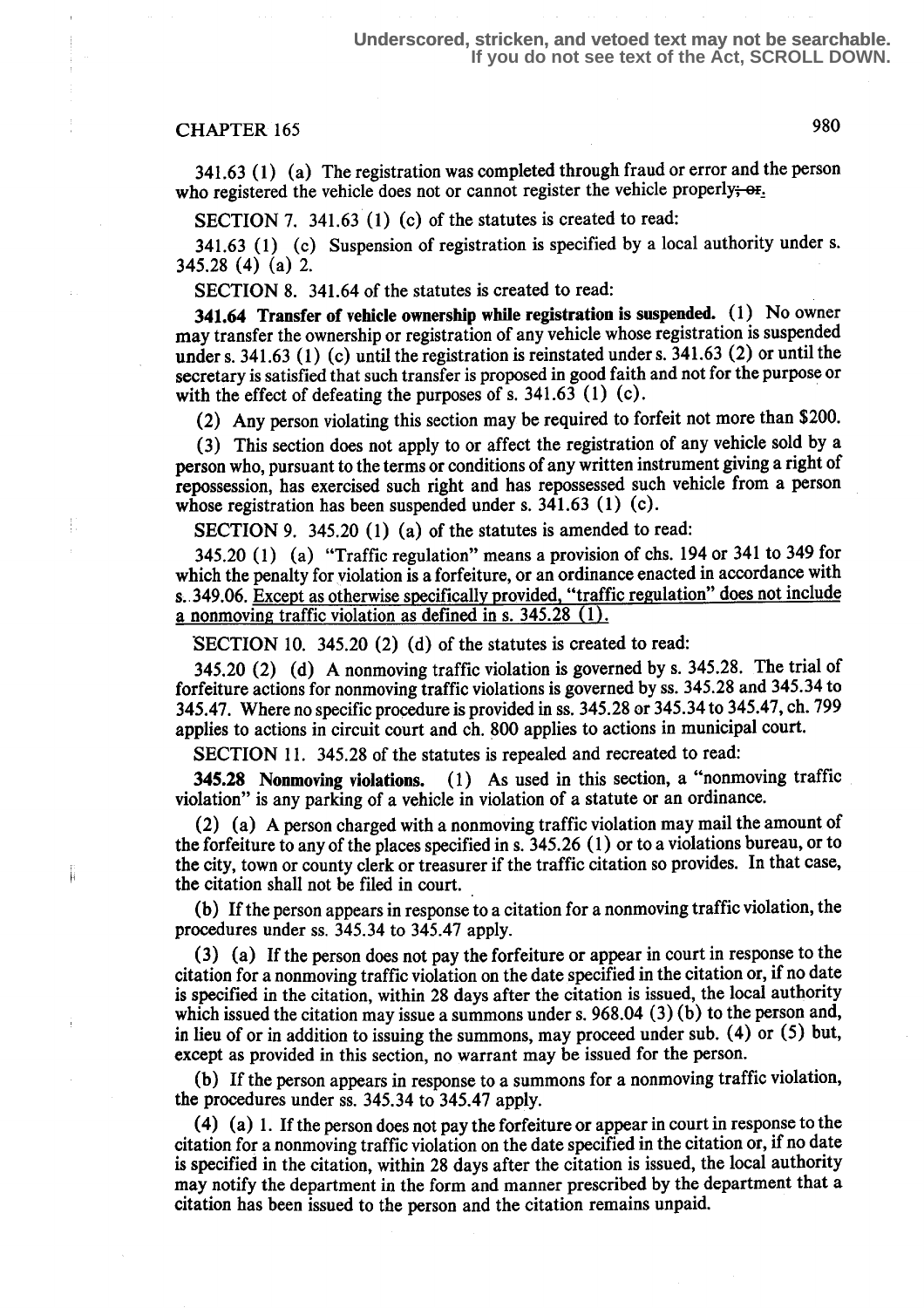### CHAPTER 165 980

341.63 (1) (a) The registration was completed through fraud or error and the person who registered the vehicle does not or cannot register the vehicle properly;  $\Theta$ <sub>1</sub>.

SECTION 7. 341.63 (1) (c) of the statutes is created to read:

341.63 (1) (c) Suspension of registration is specified by a local authority under s. 345.28 (4) (a) 2.

SECTION 8. 341.64 of the statutes is created to read:

341.64 Transfer of vehicle ownership while registration is suspended. (1) No owner may transfer the ownership or registration of any vehicle whose registration is suspended under s. 341.63 (1) (c) until the registration is reinstated under s. 341.63 (2) or until the secretary is satisfied that such transfer is proposed in good faith and not for the purpose or with the effect of defeating the purposes of s.  $341.63$  (1) (c).

(2) Any person violating this section may be required to forfeit not more than \$200.

(3) This section does not apply to or affect the registration of any vehicle sold by a person who, pursuant to the terms or conditions of any written instrument giving a right of repossession, has exercised such right and has repossessed such vehicle from a person whose registration has been suspended under s.  $341.63$  (1) (c).

SECTION 9. 345.20 (1) (a) of the statutes is amended to read:

345.20 (1) (a) "Traffic regulation" means a provision of chs. 194 or 341 to 349 for which the penalty for violation is a forfeiture, or an ordinance enacted in accordance with s. 349.06. Except as otherwise specifically provided, "traffic regulation" does not include a nonmoving traffic violation as defined in s.  $345.28(1)$ .

SECTION 10. 345.20 (2) (d) of the statutes is created to read:

345.20 (2) (d) A nonmoving traffic violation is governed by s. 345.28. The trial of forfeiture actions for nonmoving traffic violations is governed by ss . 345.28 and 345.34 to 345.47. Where no specific procedure is provided in ss. 345.28 or 345.34 to 345.47, ch. 799 applies to actions in circuit court and ch. 800 applies to actions in municipal court.

SECTION 11. 345.28 of the statutes is repealed and recreated to read:

345.28 Nonmoving violations. (1) As used in this section, a "nonmoving traffic violation" is any parking of a vehicle in violation of a statute or an ordinance.

(2) (a) A person charged with a nonmoving traffic violation may mail the amount of the forfeiture to any of the places specified in s. 345.26 (1) or to a violations bureau, or to the city, town or county clerk or treasurer if the traffic citation so provides. In that case, the citation shall not be filed in court.

(b) If the person appears in response to a citation for a nonmoving traffic violation, the procedures under ss. 345.34 to 345.47 apply.

(3) (a) If the person does not pay the forfeiture or appear in court in response to the citation for a nonmoving traffic violation on the date specified in the citation or, if no date is specified in the citation, within 28 days after the citation is issued, the local authority which issued the citation may issue a summons under s. 968.04 (3) (b) to the person and, in lieu of or in addition to issuing the summons, may proceed under sub. (4) or (5) but, except as provided in this section, no warrant may be issued for the person.

(b) If the person appears in response to a summons for a nonmoving traffic violation, the procedures under ss. 345.34 to 345.47 apply.

(4) (a) 1 . If the person does not pay the forfeiture or appear in court in response to the citation for a nonmoving traffic violation on the date specified in the citation or, if no date is specified in the citation, within 28 days after the citation is issued, the local authority may notify the department in the form and manner prescribed by the department that a citation has been issued to the person and the citation remains unpaid.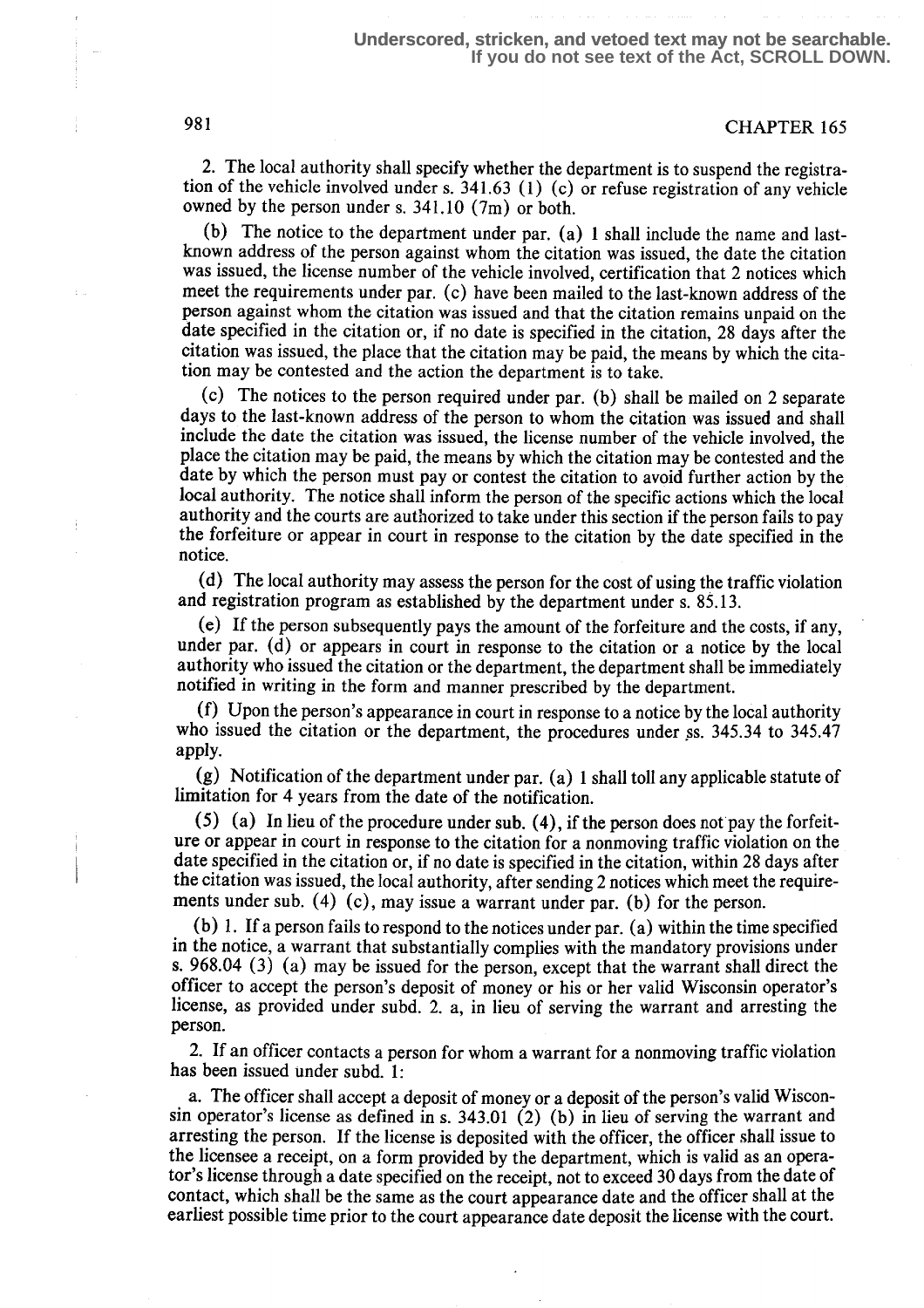#### 981 CHAPTER 165

2. The local authority shall specify whether the department is to suspend the registration of the vehicle involved under s.  $341.63$  (1) (c) or refuse registration of any vehicle owned by the person under s.  $341.10$  (7m) or both.

(b) The notice to the department under par. (a) 1 shall include the name and lastknown address of the person against whom the citation was issued, the date the citation was issued, the license number of the vehicle involved, certification that 2 notices which meet the requirements under par. (c) have been mailed to the last-known address of the person against whom the citation was issued and that the citation remains unpaid on the date specified in the citation or, if no date is specified in the citation, 28 days after the citation was issued, the place that the citation may be paid, the means by which the citation may be contested and the action the department is to take.

(c) The notices to the person required under par. (b) shall be mailed on 2 separate days to the last-known address of the person to whom the citation was issued and shall include the date the citation was issued, the license number of the vehicle involved, the place the citation may be paid, the means by which the citation may be contested and the date by which the person must pay or contest the citation to avoid further action by the local authority. The notice shall inform the person of the specific actions which the local authority and the courts are authorized to take under this section if the person fails to pay the forfeiture or appear in court in response to the citation by the date specified in the notice.

(d) The local authority may assess the person for the cost of using the traffic violation and registration program as established by the department under s. 85.13.

(e) If the person subsequently pays the amount of the forfeiture and the costs, if any, under par. (d) or appears in court in response to the citation or a notice by the local authority who issued the citation or the department, the department shall be immediately notified in writing in the form and manner prescribed by the department.

(f) Upon the person's appearance in court in response to a notice by the local authority who issued the citation or the department, the procedures under ss. 345.34 to 345.47 apply.

(g) Notification of the department under par . (a) 1 shall toll any applicable statute of limitation for 4 years from the date of the notification.

(5) (a) In lieu of the procedure under sub. (4), if the person does not pay the forfeiture or appear in court in response to the citation for a nonmoving traffic violation on the date specified in the citation or, if no date is specified in the citation, within 28 days after the citation was issued, the local authority, after sending 2 notices which meet the requirements under sub. (4) (c), may issue a warrant under par. (b) for the person.

(b) 1 . If a person fails to respond to the notices under par. (a) within the time specified in the notice, a warrant that substantially complies with the mandatory provisions under s. 968.04 (3) (a) may be issued for the person, except that the warrant shall direct the officer to accept the person's deposit of money or his or her valid Wisconsin operator's license, as provided under subd. 2, a, in lieu of serving the warrant and arresting the person.

2. If an officer contacts a person for whom a warrant for a nonmoving traffic violation has been issued under subd. 1:

a. The officer shall accept a deposit of money or a deposit of the person's valid Wisconsin operator's license as defined in s.  $343.01(2)$  (b) in lieu of serving the warrant and arresting the person. If the license is deposited with the officer, the officer shall issue to the licensee a receipt, on a form provided by the department, which is valid as an operator's license through a date specified on the receipt, not to exceed 30 days from the date of contact, which shall be the same as the court appearance date and the officer shall at the earliest possible time prior to the court appearance date deposit the license with the court.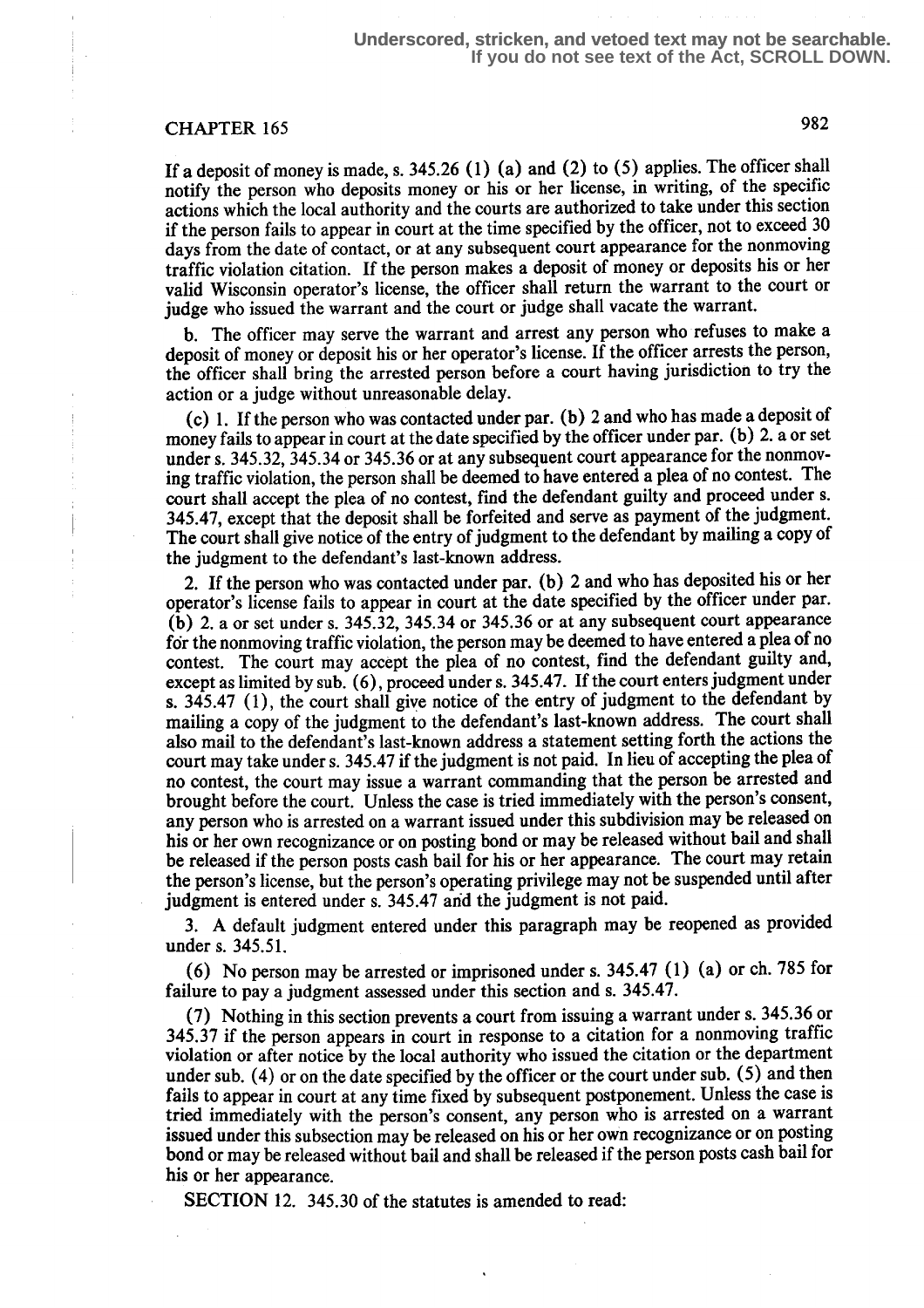## CHAPTER 165 982

If a deposit of money is made, s.  $345.26$  (1) (a) and (2) to (5) applies. The officer shall notify the person who deposits money or his or her license, in writing, of the specific actions which the local authority and the courts are authorized to take under this section if the person fails to appear in court at the time specified by the officer, not to exceed 30 days from the date of contact, or at any subsequent court appearance for the nonmoving traffic violation citation. If the person makes a deposit of money or deposits his or her valid Wisconsin operator's license, the officer shall return the warrant to the court or judge who issued the warrant and the court or judge shall vacate the warrant.

b. The officer may serve the warrant and arrest any person who refuses to make a deposit of money or deposit his or her operator's license. If the officer arrests the person, the officer shall bring the arrested person before a court having jurisdiction to try the action or a judge without unreasonable delay.

(c) 1 . If the person who was contacted under par. (b) 2 and who has made a deposit of money fails to appear in court at the date specified by the officer under par. (b) 2. a or set under s. 345.32, 345.34 or 345.36 or at any subsequent court appearance for the nonmoving traffic violation, the person shall be deemed to have entered a plea of no contest. The court shall accept the plea of no contest, find the defendant guilty and proceed under s. 345.47, except that the deposit shall be forfeited and serve as payment of the judgment. The court shall give notice of the entry of judgment to the defendant by mailing a copy of the judgment to the defendant's last-known address.

2. If the person who was contacted under par. (b) 2 and who has deposited his or her operator's license fails to appear in court at the date specified by the officer under par. (b) 2. a or set under s. 345.32, 345.34 or 345.36 or at any subsequent court appearance for the nonmoving traffic violation, the person may be deemed to have entered a plea of no contest. The court may accept the plea of no contest, find the defendant guilty and, except as limited by sub. (6), proceed under s. 345.47. If the court enters judgment under s. 345.47 (1), the court shall give notice of the entry of judgment to the defendant by mailing a copy of the judgment to the defendant's last-known address. The court shall also mail to the defendant's last-known address a statement setting forth the actions the court may take under s. 345.47 if the judgment is not paid. In lieu of accepting the plea of no contest, the court may issue a warrant commanding that the person be arrested and brought before the court. Unless the case is tried immediately with the person's consent, any person who is arrested on a warrant issued under this subdivision may be released on his or her own recognizance or on posting bond or may be released without bail and shall be released if the person posts cash bail for his or her appearance. The court may retain the person's license, but the person's operating privilege may not be suspended until after judgment is entered under s. 345.47 and the judgment is not paid.

<sup>3</sup> . A default judgment entered under this paragraph may be reopened as provided under s. 345.51.

(6) No person may be arrested or imprisoned under s.  $345.47$  (1) (a) or ch. 785 for failure to pay a judgment assessed under this section and s. 345.47.

(7) Nothing in this section prevents a court from issuing a warrant under s. 345.36 or 345.37 if the person appears in court in response to a citation for a nonmoving traffic violation or after notice by the local authority who issued the citation or the department under sub. (4) or on the date specified by the officer or the court under sub. (5) and then fails to appear in court at any time fixed by subsequent postponement. Unless the case is tried immediately with the person's consent, any person who is arrested on a warrant issued under this subsection may be released on his or her own recognizance or on posting bond or may be released without bail and shall be released if the person posts cash bail for his or her appearance.

SECTION 12. 345.30 of the statutes is amended to read: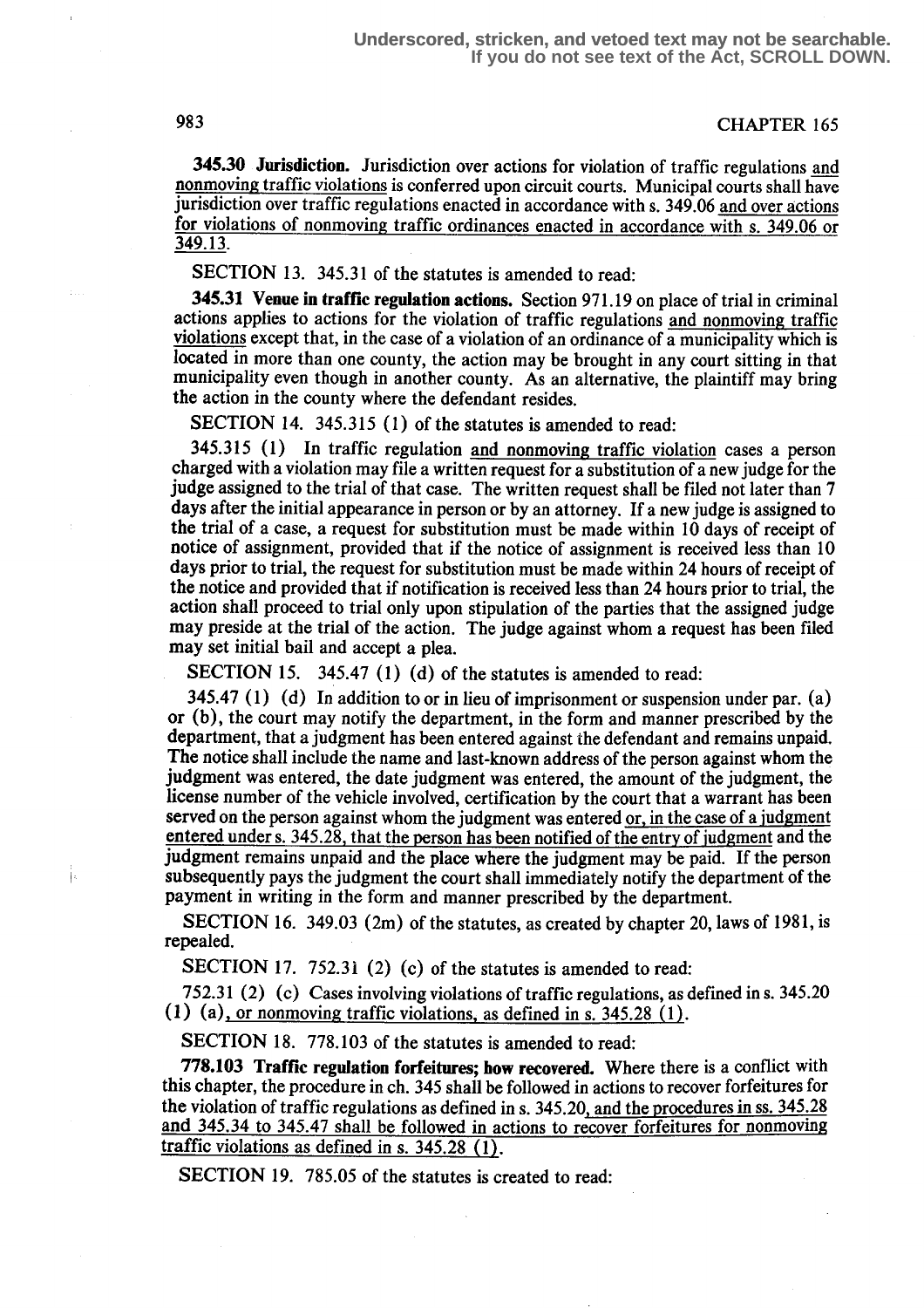345.30 Jurisdiction. Jurisdiction over actions for violation of traffic regulations and nonmoving traffic violations is conferred upon circuit courts. Municipal courts shall have jurisdiction over traffic regulations enacted in accordance with s. 349.06 and over actions for violations of nonmoving traffic ordinances enacted in accordance with s. 349.06 or 349.13.

SECTION 13. 345.31 of the statutes is amended to read:

345.31 Venue in traffic regulation actions. Section 971.19 on place of trial in criminal actions applies to actions for the violation of traffic regulations and nonmoving traffic violations except that, in the case of a violation of an ordinance of a municipality which is located in more than one county, the action may be brought in any court sitting in that municipality even though in another county. As an alternative, the plaintiff may bring the action in the county where the defendant resides.

SECTION 14. 345.315 (1) of the statutes is amended to read:

345.315 (1) In traffic regulation and nonmoving traffic violation cases a person charged with a violation may file a written request for a substitution of a new judge for the judge assigned to the trial of that case. The written request shall be filed not later than 7 days after the initial appearance in person or by an attorney. If a new judge is assigned to the trial of a case, a request for substitution must be made within 10 days of receipt of notice of assignment, provided that if the notice of assignment is received less than 10 days prior to trial, the request for substitution must be made within 24 hours of receipt of the notice and provided that if notification is received less than 24 hours prior to trial, the action shall proceed to trial only upon stipulation of the parties that the assigned judge may preside at the trial of the action. The judge against whom a request has been filed may set initial bail and accept a plea.

SECTION 15. 345.47 (1) (d) of the statutes is amended to read:

345.47 (1) (d) In addition to or in lieu of imprisonment or suspension under par. (a) or (b), the court may notify the department, in the form and manner prescribed by the department, that a judgment has been entered against the defendant and remains unpaid. The notice shall include the name and last-known address of the person against whom the judgment was entered, the date judgment was entered, the amount of the judgment, the license number of the vehicle involved, certification by the court that a warrant has been served on the person against whom the judgment was entered or, in the case of a iudgment entered under s. 345.28, that the person has been notified of the entry of judgment and the judgment remains unpaid and the place where the judgment may be paid. If the person subsequently pays the judgment the court shall immediately notify the department of the payment in writing in the form and manner prescribed by the department.

SECTION 16. 349.03 (2m) of the statutes, as created by chapter 20, laws of 1981, is repealed.

SECTION 17. 752.31 (2) (c) of the statutes is amended to read:

752.31 (2) (c) Cases involving violations of traffic regulations, as defined in s. 345 .20 (1) (a), or nonmoving traffic violations, as defined in s.  $345.28$  (1).

SECTION 18. 778.103 of the statutes is amended to read:

**778.103 Traffic regulation forfeitures: how recovered.** Where there is a conflict with this chapter, the procedure in ch. 345 shall be followed in actions to recover forfeitures for the violation of traffic regulations as defined in s. 345.20, and the procedures in ss. 345.28 and  $345.34$  to  $345.47$  shall be followed in actions to recover forfeitures for nonmoving traffic violations as defined in s.  $345.28$  (1).

SECTION 19. 785.05 of the statutes is created to read: